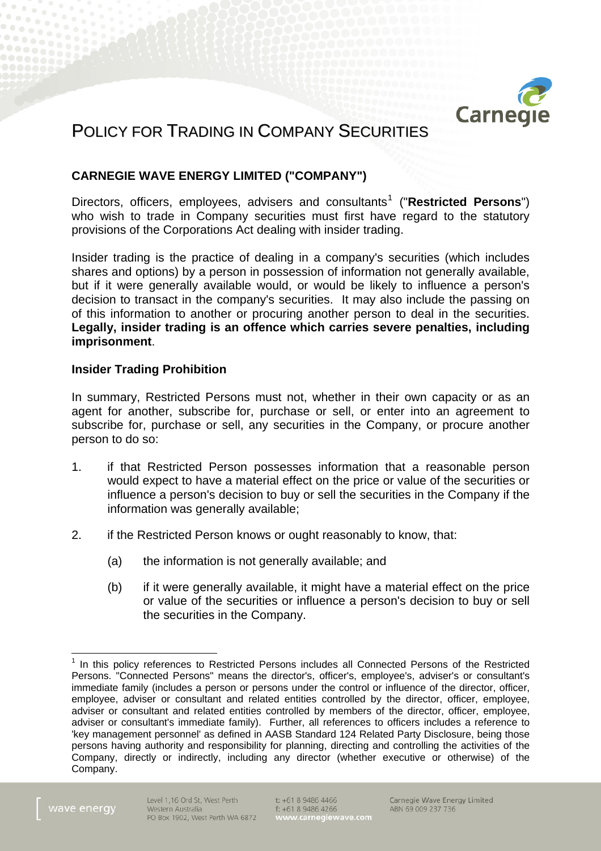

# POLICY FOR TRADING IN COMPANY SECURITIES

## **CARNEGIE WAVE ENERGY LIMITED ("COMPANY")**

Directors, officers, employees, advisers and consultants<sup>[1](#page-0-0)</sup> ("Restricted Persons") who wish to trade in Company securities must first have regard to the statutory provisions of the Corporations Act dealing with insider trading.

Insider trading is the practice of dealing in a company's securities (which includes shares and options) by a person in possession of information not generally available, but if it were generally available would, or would be likely to influence a person's decision to transact in the company's securities. It may also include the passing on of this information to another or procuring another person to deal in the securities. **Legally, insider trading is an offence which carries severe penalties, including imprisonment**.

## **Insider Trading Prohibition**

In summary, Restricted Persons must not, whether in their own capacity or as an agent for another, subscribe for, purchase or sell, or enter into an agreement to subscribe for, purchase or sell, any securities in the Company, or procure another person to do so:

- 1. if that Restricted Person possesses information that a reasonable person would expect to have a material effect on the price or value of the securities or influence a person's decision to buy or sell the securities in the Company if the information was generally available;
- 2. if the Restricted Person knows or ought reasonably to know, that:
	- (a) the information is not generally available; and
	- (b) if it were generally available, it might have a material effect on the price or value of the securities or influence a person's decision to buy or sell the securities in the Company.

<span id="page-0-0"></span><sup>&</sup>lt;sup>1</sup> In this policy references to Restricted Persons includes all Connected Persons of the Restricted Persons. "Connected Persons" means the director's, officer's, employee's, adviser's or consultant's immediate family (includes a person or persons under the control or influence of the director, officer, employee, adviser or consultant and related entities controlled by the director, officer, employee, adviser or consultant and related entities controlled by members of the director, officer, employee, adviser or consultant's immediate family). Further, all references to officers includes a reference to 'key management personnel' as defined in AASB Standard 124 Related Party Disclosure, being those persons having authority and responsibility for planning, directing and controlling the activities of the Company, directly or indirectly, including any director (whether executive or otherwise) of the Company.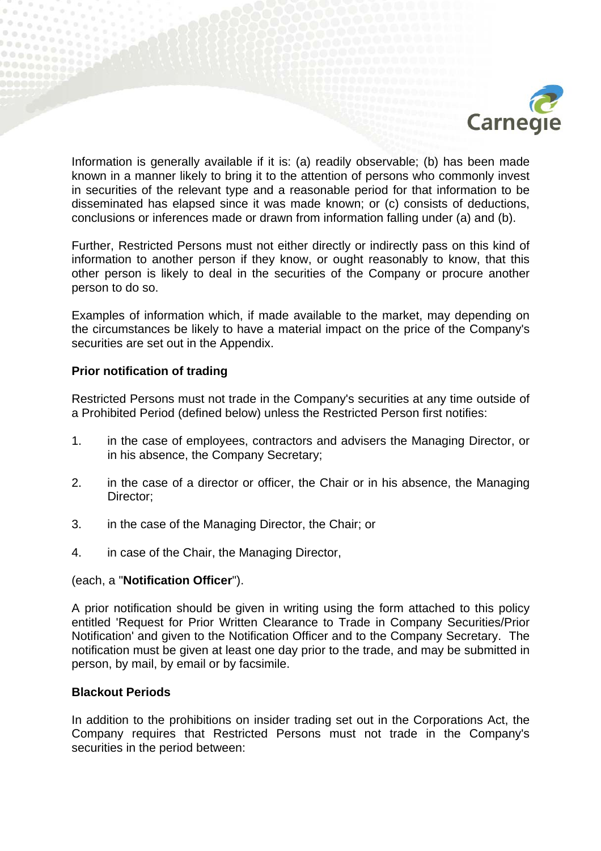

Information is generally available if it is: (a) readily observable; (b) has been made known in a manner likely to bring it to the attention of persons who commonly invest in securities of the relevant type and a reasonable period for that information to be disseminated has elapsed since it was made known; or (c) consists of deductions, conclusions or inferences made or drawn from information falling under (a) and (b).

Further, Restricted Persons must not either directly or indirectly pass on this kind of information to another person if they know, or ought reasonably to know, that this other person is likely to deal in the securities of the Company or procure another person to do so.

Examples of information which, if made available to the market, may depending on the circumstances be likely to have a material impact on the price of the Company's securities are set out in the Appendix.

## **Prior notification of trading**

Restricted Persons must not trade in the Company's securities at any time outside of a Prohibited Period (defined below) unless the Restricted Person first notifies:

- 1. in the case of employees, contractors and advisers the Managing Director, or in his absence, the Company Secretary;
- 2. in the case of a director or officer, the Chair or in his absence, the Managing Director;
- 3. in the case of the Managing Director, the Chair; or
- 4. in case of the Chair, the Managing Director,

## (each, a "**Notification Officer**").

A prior notification should be given in writing using the form attached to this policy entitled 'Request for Prior Written Clearance to Trade in Company Securities/Prior Notification' and given to the Notification Officer and to the Company Secretary. The notification must be given at least one day prior to the trade, and may be submitted in person, by mail, by email or by facsimile.

## **Blackout Periods**

In addition to the prohibitions on insider trading set out in the Corporations Act, the Company requires that Restricted Persons must not trade in the Company's securities in the period between: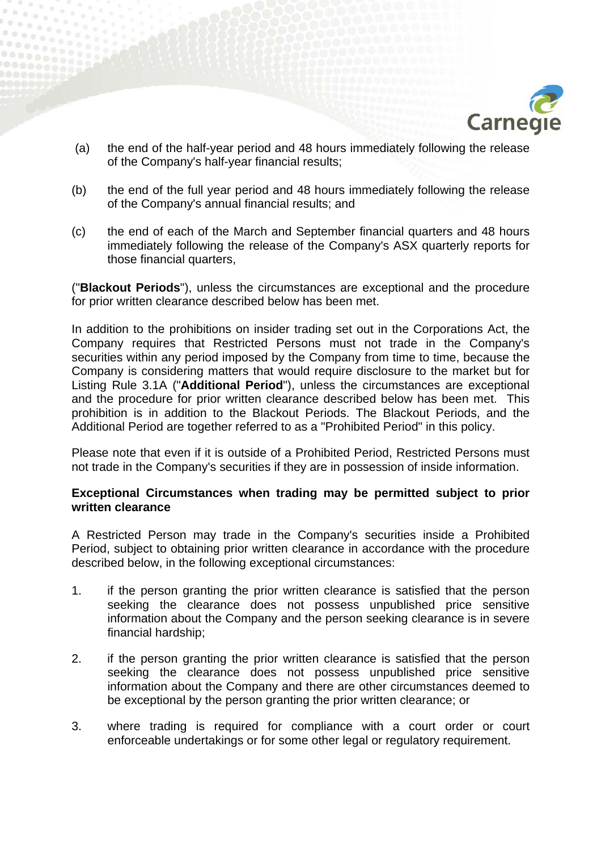

- (a) the end of the half-year period and 48 hours immediately following the release of the Company's half-year financial results;
- (b) the end of the full year period and 48 hours immediately following the release of the Company's annual financial results; and
- (c) the end of each of the March and September financial quarters and 48 hours immediately following the release of the Company's ASX quarterly reports for those financial quarters,

("**Blackout Periods**"), unless the circumstances are exceptional and the procedure for prior written clearance described below has been met.

In addition to the prohibitions on insider trading set out in the Corporations Act, the Company requires that Restricted Persons must not trade in the Company's securities within any period imposed by the Company from time to time, because the Company is considering matters that would require disclosure to the market but for Listing Rule 3.1A ("**Additional Period**"), unless the circumstances are exceptional and the procedure for prior written clearance described below has been met. This prohibition is in addition to the Blackout Periods. The Blackout Periods, and the Additional Period are together referred to as a "Prohibited Period" in this policy.

Please note that even if it is outside of a Prohibited Period, Restricted Persons must not trade in the Company's securities if they are in possession of inside information.

## **Exceptional Circumstances when trading may be permitted subject to prior written clearance**

A Restricted Person may trade in the Company's securities inside a Prohibited Period, subject to obtaining prior written clearance in accordance with the procedure described below, in the following exceptional circumstances:

- 1. if the person granting the prior written clearance is satisfied that the person seeking the clearance does not possess unpublished price sensitive information about the Company and the person seeking clearance is in severe financial hardship;
- 2. if the person granting the prior written clearance is satisfied that the person seeking the clearance does not possess unpublished price sensitive information about the Company and there are other circumstances deemed to be exceptional by the person granting the prior written clearance; or
- 3. where trading is required for compliance with a court order or court enforceable undertakings or for some other legal or regulatory requirement.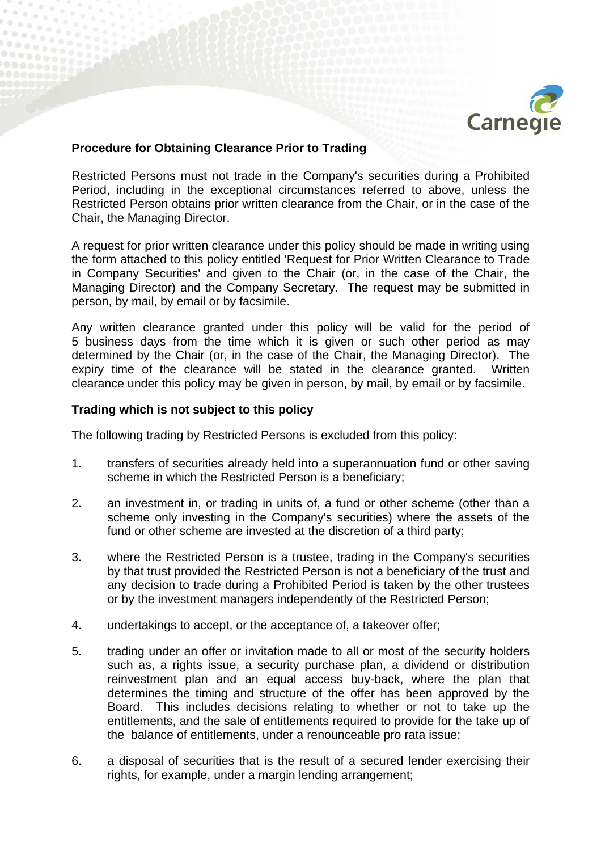

## **Procedure for Obtaining Clearance Prior to Trading**

Restricted Persons must not trade in the Company's securities during a Prohibited Period, including in the exceptional circumstances referred to above, unless the Restricted Person obtains prior written clearance from the Chair, or in the case of the Chair, the Managing Director.

A request for prior written clearance under this policy should be made in writing using the form attached to this policy entitled 'Request for Prior Written Clearance to Trade in Company Securities' and given to the Chair (or, in the case of the Chair, the Managing Director) and the Company Secretary. The request may be submitted in person, by mail, by email or by facsimile.

Any written clearance granted under this policy will be valid for the period of 5 business days from the time which it is given or such other period as may determined by the Chair (or, in the case of the Chair, the Managing Director). The expiry time of the clearance will be stated in the clearance granted. Written clearance under this policy may be given in person, by mail, by email or by facsimile.

### **Trading which is not subject to this policy**

The following trading by Restricted Persons is excluded from this policy:

- 1. transfers of securities already held into a superannuation fund or other saving scheme in which the Restricted Person is a beneficiary;
- 2. an investment in, or trading in units of, a fund or other scheme (other than a scheme only investing in the Company's securities) where the assets of the fund or other scheme are invested at the discretion of a third party;
- 3. where the Restricted Person is a trustee, trading in the Company's securities by that trust provided the Restricted Person is not a beneficiary of the trust and any decision to trade during a Prohibited Period is taken by the other trustees or by the investment managers independently of the Restricted Person;
- 4. undertakings to accept, or the acceptance of, a takeover offer;
- 5. trading under an offer or invitation made to all or most of the security holders such as, a rights issue, a security purchase plan, a dividend or distribution reinvestment plan and an equal access buy-back, where the plan that determines the timing and structure of the offer has been approved by the Board. This includes decisions relating to whether or not to take up the entitlements, and the sale of entitlements required to provide for the take up of the balance of entitlements, under a renounceable pro rata issue;
- 6. a disposal of securities that is the result of a secured lender exercising their rights, for example, under a margin lending arrangement;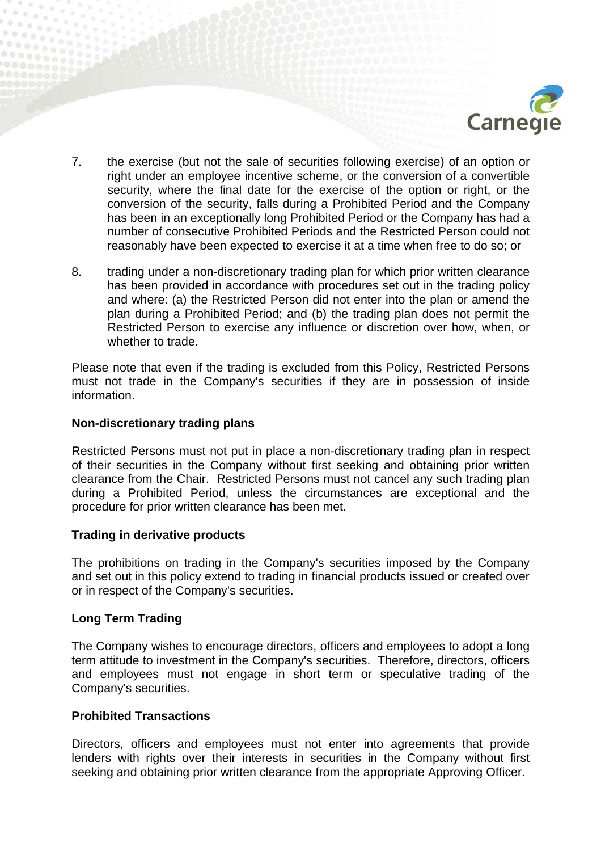

- 7. the exercise (but not the sale of securities following exercise) of an option or right under an employee incentive scheme, or the conversion of a convertible security, where the final date for the exercise of the option or right, or the conversion of the security, falls during a Prohibited Period and the Company has been in an exceptionally long Prohibited Period or the Company has had a number of consecutive Prohibited Periods and the Restricted Person could not reasonably have been expected to exercise it at a time when free to do so; or
- 8. trading under a non-discretionary trading plan for which prior written clearance has been provided in accordance with procedures set out in the trading policy and where: (a) the Restricted Person did not enter into the plan or amend the plan during a Prohibited Period; and (b) the trading plan does not permit the Restricted Person to exercise any influence or discretion over how, when, or whether to trade.

Please note that even if the trading is excluded from this Policy, Restricted Persons must not trade in the Company's securities if they are in possession of inside information.

### **Non-discretionary trading plans**

Restricted Persons must not put in place a non-discretionary trading plan in respect of their securities in the Company without first seeking and obtaining prior written clearance from the Chair. Restricted Persons must not cancel any such trading plan during a Prohibited Period, unless the circumstances are exceptional and the procedure for prior written clearance has been met.

#### **Trading in derivative products**

The prohibitions on trading in the Company's securities imposed by the Company and set out in this policy extend to trading in financial products issued or created over or in respect of the Company's securities.

## **Long Term Trading**

The Company wishes to encourage directors, officers and employees to adopt a long term attitude to investment in the Company's securities. Therefore, directors, officers and employees must not engage in short term or speculative trading of the Company's securities.

## **Prohibited Transactions**

Directors, officers and employees must not enter into agreements that provide lenders with rights over their interests in securities in the Company without first seeking and obtaining prior written clearance from the appropriate Approving Officer.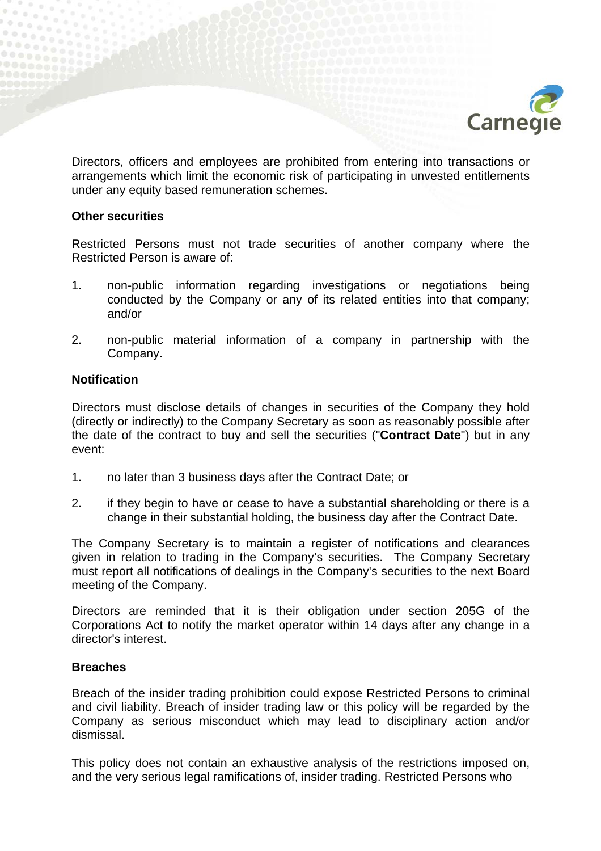

Directors, officers and employees are prohibited from entering into transactions or arrangements which limit the economic risk of participating in unvested entitlements under any equity based remuneration schemes.

### **Other securities**

Restricted Persons must not trade securities of another company where the Restricted Person is aware of:

- 1. non-public information regarding investigations or negotiations being conducted by the Company or any of its related entities into that company; and/or
- 2. non-public material information of a company in partnership with the Company.

## **Notification**

Directors must disclose details of changes in securities of the Company they hold (directly or indirectly) to the Company Secretary as soon as reasonably possible after the date of the contract to buy and sell the securities ("**Contract Date**") but in any event:

- 1. no later than 3 business days after the Contract Date; or
- 2. if they begin to have or cease to have a substantial shareholding or there is a change in their substantial holding, the business day after the Contract Date.

The Company Secretary is to maintain a register of notifications and clearances given in relation to trading in the Company's securities. The Company Secretary must report all notifications of dealings in the Company's securities to the next Board meeting of the Company.

Directors are reminded that it is their obligation under section 205G of the Corporations Act to notify the market operator within 14 days after any change in a director's interest.

## **Breaches**

Breach of the insider trading prohibition could expose Restricted Persons to criminal and civil liability. Breach of insider trading law or this policy will be regarded by the Company as serious misconduct which may lead to disciplinary action and/or dismissal.

This policy does not contain an exhaustive analysis of the restrictions imposed on, and the very serious legal ramifications of, insider trading. Restricted Persons who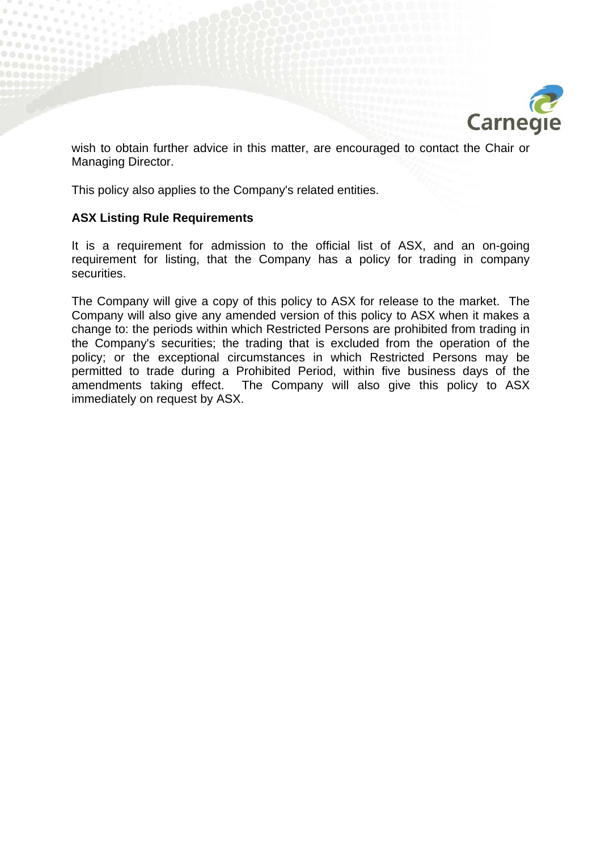

wish to obtain further advice in this matter, are encouraged to contact the Chair or Managing Director.

This policy also applies to the Company's related entities.

### **ASX Listing Rule Requirements**

It is a requirement for admission to the official list of ASX, and an on-going requirement for listing, that the Company has a policy for trading in company securities.

The Company will give a copy of this policy to ASX for release to the market. The Company will also give any amended version of this policy to ASX when it makes a change to: the periods within which Restricted Persons are prohibited from trading in the Company's securities; the trading that is excluded from the operation of the policy; or the exceptional circumstances in which Restricted Persons may be permitted to trade during a Prohibited Period, within five business days of the amendments taking effect. The Company will also give this policy to ASX immediately on request by ASX.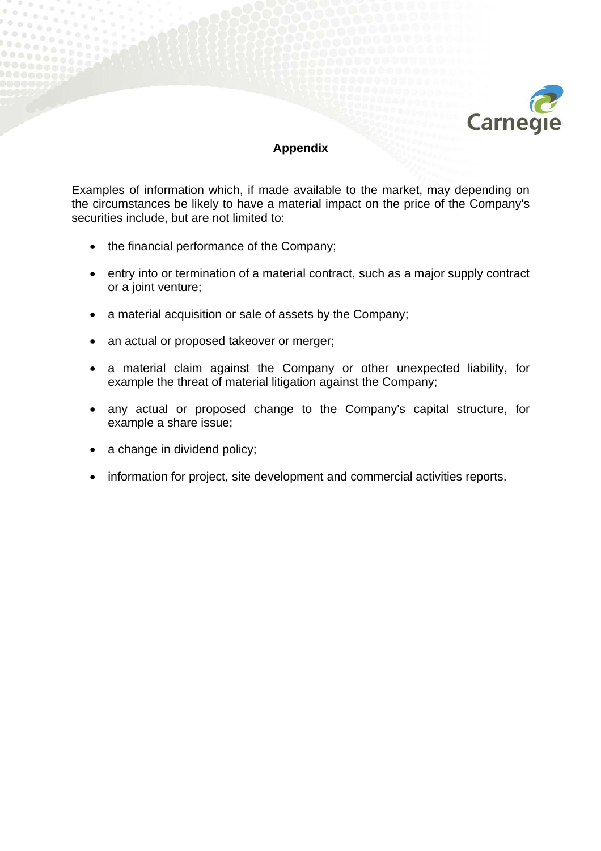

## **Appendix**

Examples of information which, if made available to the market, may depending on the circumstances be likely to have a material impact on the price of the Company's securities include, but are not limited to:

- the financial performance of the Company;
- entry into or termination of a material contract, such as a major supply contract or a joint venture;
- a material acquisition or sale of assets by the Company;
- an actual or proposed takeover or merger;
- a material claim against the Company or other unexpected liability, for example the threat of material litigation against the Company;
- any actual or proposed change to the Company's capital structure, for example a share issue;
- a change in dividend policy;
- information for project, site development and commercial activities reports.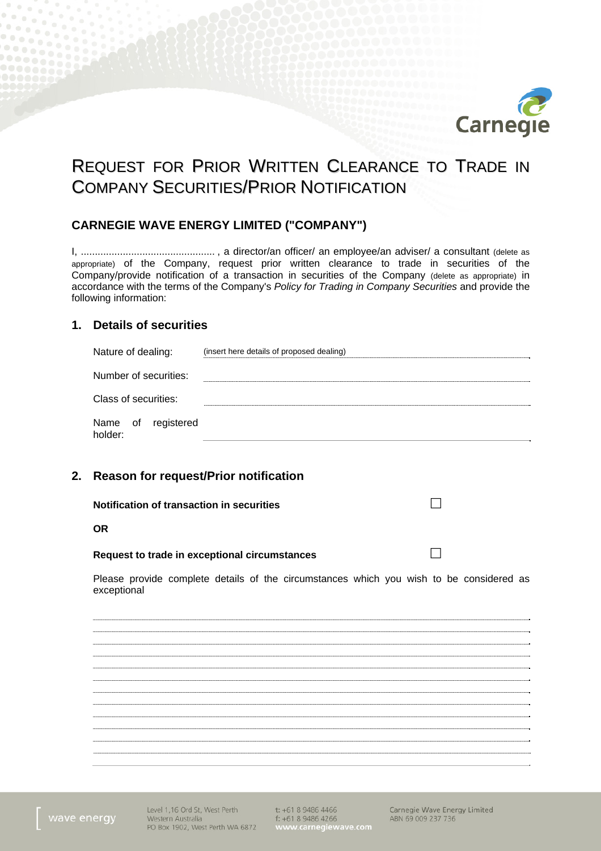

# REQUEST FOR PRIOR WRITTEN CLEARANCE TO TRADE IN COMPANY SECURITIES/PRIOR NOTIFICATION

## **CARNEGIE WAVE ENERGY LIMITED ("COMPANY")**

I, ................................................ , a director/an officer/ an employee/an adviser/ a consultant (delete as appropriate) of the Company, request prior written clearance to trade in securities of the Company/provide notification of a transaction in securities of the Company (delete as appropriate) in accordance with the terms of the Company's *Policy for Trading in Company Securities* and provide the following information:

#### **1. Details of securities**

| Nature of dealing:               | (insert here details of proposed dealing) |
|----------------------------------|-------------------------------------------|
| Number of securities:            |                                           |
| Class of securities:             |                                           |
| Name of<br>registered<br>holder: |                                           |

### **2. Reason for request/Prior notification**

**Notification of transaction in securities** 

#### **OR**

#### **Request to trade in exceptional circumstances**

Please provide complete details of the circumstances which you wish to be considered as exceptional

Level 1,16 Ord St, West Perth t: +61 8 9486 4466 Western Australia PO Box 1902, West Perth WA 6872

f: +61 8 9486 4266<br>www.carnegiewave.com

Carnegie Wave Energy Limited ABN 69 009 237 736